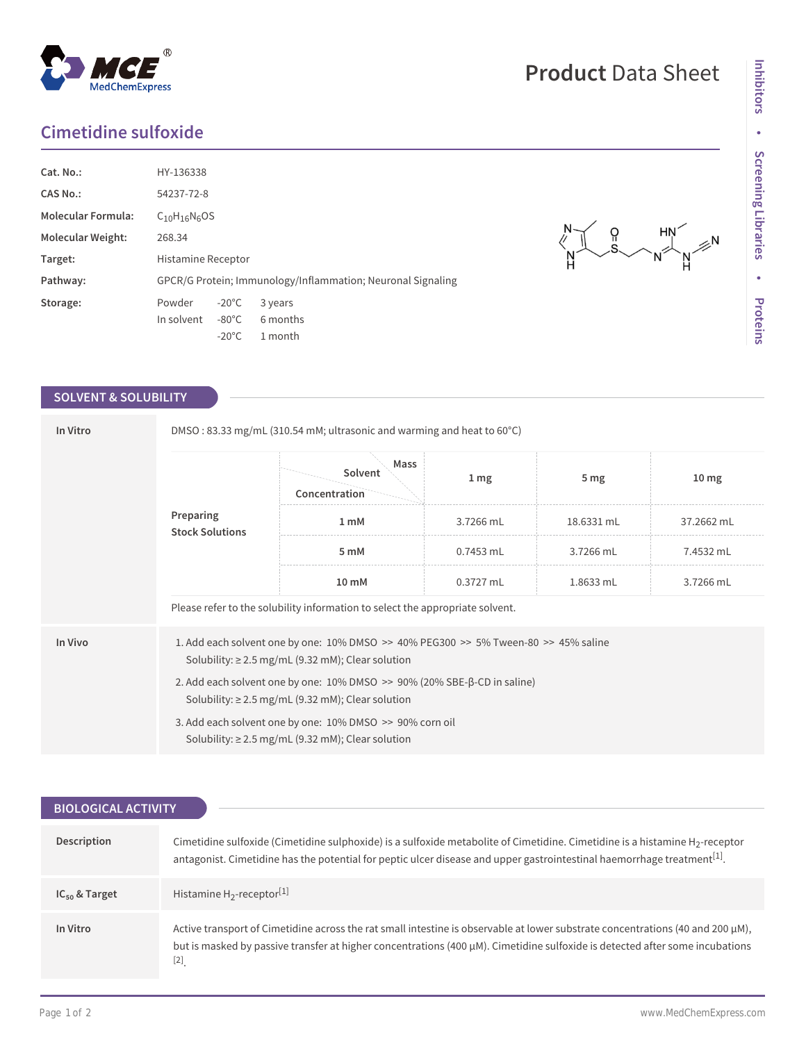## **Cimetidine sulfoxide**

MedChemExpress

 $^{\circledR}$ 

| Cat. No.:                 | HY-136338                                                   |                 |          |  |  |
|---------------------------|-------------------------------------------------------------|-----------------|----------|--|--|
| CAS No.:                  | 54237-72-8                                                  |                 |          |  |  |
| <b>Molecular Formula:</b> | $C_{10}H_{16}N_6OS$                                         |                 |          |  |  |
| <b>Molecular Weight:</b>  | 268.34                                                      |                 |          |  |  |
| Target:                   | Histamine Receptor                                          |                 |          |  |  |
| Pathway:                  | GPCR/G Protein; Immunology/Inflammation; Neuronal Signaling |                 |          |  |  |
| Storage:                  | Powder                                                      | $-20^{\circ}$ C | 3 years  |  |  |
|                           | In solvent                                                  | $-80^{\circ}$ C | 6 months |  |  |
|                           |                                                             | $-20^{\circ}$ C | 1 month  |  |  |

## **SOLVENT & SOLUBILITY**

| In Vitro                            | DMSO: 83.33 mg/mL (310.54 mM; ultrasonic and warming and heat to 60°C)                                                                            |                                  |                  |                 |                  |  |  |
|-------------------------------------|---------------------------------------------------------------------------------------------------------------------------------------------------|----------------------------------|------------------|-----------------|------------------|--|--|
| Preparing<br><b>Stock Solutions</b> |                                                                                                                                                   | Mass<br>Solvent<br>Concentration | $1 \, \text{mg}$ | 5 <sub>mg</sub> | 10 <sub>mg</sub> |  |  |
|                                     |                                                                                                                                                   | 1 <sub>m</sub> M                 | 3.7266 mL        | 18.6331 mL      | 37.2662 mL       |  |  |
|                                     | 5 mM                                                                                                                                              | $0.7453$ mL                      | 3.7266 mL        | 7.4532 mL       |                  |  |  |
|                                     | 10 mM                                                                                                                                             | 0.3727 mL                        | 1.8633 mL        | 3.7266 mL       |                  |  |  |
|                                     | Please refer to the solubility information to select the appropriate solvent.                                                                     |                                  |                  |                 |                  |  |  |
| In Vivo                             | 1. Add each solvent one by one: 10% DMSO >> 40% PEG300 >> 5% Tween-80 >> 45% saline<br>Solubility: $\geq$ 2.5 mg/mL (9.32 mM); Clear solution     |                                  |                  |                 |                  |  |  |
|                                     | 2. Add each solvent one by one: $10\%$ DMSO $\geq$ 90% (20% SBE- $\beta$ -CD in saline)<br>Solubility: $\geq$ 2.5 mg/mL (9.32 mM); Clear solution |                                  |                  |                 |                  |  |  |
|                                     | 3. Add each solvent one by one: 10% DMSO >> 90% corn oil<br>Solubility: $\geq$ 2.5 mg/mL (9.32 mM); Clear solution                                |                                  |                  |                 |                  |  |  |

| <b>BIOLOGICAL ACTIVITY</b> |                                                                                                                                                                                                                                                                                 |  |  |  |  |
|----------------------------|---------------------------------------------------------------------------------------------------------------------------------------------------------------------------------------------------------------------------------------------------------------------------------|--|--|--|--|
|                            |                                                                                                                                                                                                                                                                                 |  |  |  |  |
| Description                | Cimetidine sulfoxide (Cimetidine sulphoxide) is a sulfoxide metabolite of Cimetidine. Cimetidine is a histamine H <sub>2</sub> -receptor<br>antagonist. Cimetidine has the potential for peptic ulcer disease and upper gastrointestinal haemorrhage treatment <sup>[1]</sup> . |  |  |  |  |
| $IC_{50}$ & Target         | Histamine $H_2$ -receptor <sup>[1]</sup>                                                                                                                                                                                                                                        |  |  |  |  |
| In Vitro                   | Active transport of Cimetidine across the rat small intestine is observable at lower substrate concentrations (40 and 200 $\mu$ M),<br>but is masked by passive transfer at higher concentrations (400 µM). Cimetidine sulfoxide is detected after some incubations<br>$[2]$    |  |  |  |  |

## **Product** Data Sheet

 $\begin{matrix} 0 & \text{Hil} \\ \text{S} & \text{N} \end{matrix}$ 

 $\begin{picture}(120,170) \put(0,0){\line(1,0){150}} \put(15,0){\line(1,0){150}} \put(15,0){\line(1,0){150}} \put(15,0){\line(1,0){150}} \put(15,0){\line(1,0){150}} \put(15,0){\line(1,0){150}} \put(15,0){\line(1,0){150}} \put(15,0){\line(1,0){150}} \put(15,0){\line(1,0){150}} \put(15,0){\line(1,0){150}} \put(15,0){\line(1,0){150$